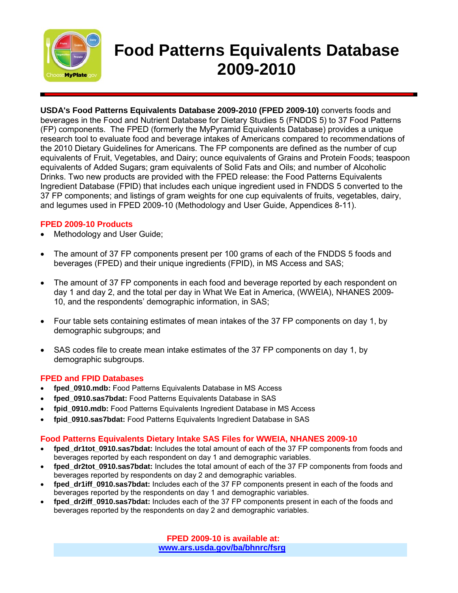

# **Food Patterns Equivalents Database 2009-2010**

**USDA's Food Patterns Equivalents Database 2009-2010 (FPED 2009-10)** converts foods and beverages in the Food and Nutrient Database for Dietary Studies 5 (FNDDS 5) to 37 Food Patterns (FP) components. The FPED (formerly the MyPyramid Equivalents Database) provides a unique research tool to evaluate food and beverage intakes of Americans compared to recommendations of the 2010 Dietary Guidelines for Americans. The FP components are defined as the number of cup equivalents of Fruit, Vegetables, and Dairy; ounce equivalents of Grains and Protein Foods; teaspoon equivalents of Added Sugars; gram equivalents of Solid Fats and Oils; and number of Alcoholic Drinks. Two new products are provided with the FPED release: the Food Patterns Equivalents Ingredient Database (FPID) that includes each unique ingredient used in FNDDS 5 converted to the 37 FP components; and listings of gram weights for one cup equivalents of fruits, vegetables, dairy, and legumes used in FPED 2009-10 (Methodology and User Guide, Appendices 8-11).

### **FPED 2009-10 Products**

- Methodology and User Guide;
- The amount of 37 FP components present per 100 grams of each of the FNDDS 5 foods and beverages (FPED) and their unique ingredients (FPID), in MS Access and SAS;
- The amount of 37 FP components in each food and beverage reported by each respondent on day 1 and day 2, and the total per day in What We Eat in America, (WWEIA), NHANES 2009- 10, and the respondents' demographic information, in SAS;
- Four table sets containing estimates of mean intakes of the 37 FP components on day 1, by demographic subgroups; and
- SAS codes file to create mean intake estimates of the 37 FP components on day 1, by demographic subgroups.

#### **FPED and FPID Databases**

- **fped\_0910.mdb:** Food Patterns Equivalents Database in MS Access
- **fped\_0910.sas7bdat:** Food Patterns Equivalents Database in SAS
- **fpid\_0910.mdb:** Food Patterns Equivalents Ingredient Database in MS Access
- **fpid\_0910.sas7bdat:** Food Patterns Equivalents Ingredient Database in SAS

#### **Food Patterns Equivalents Dietary Intake SAS Files for WWEIA, NHANES 2009-10**

- fped dr1tot 0910.sas7bdat: Includes the total amount of each of the 37 FP components from foods and beverages reported by each respondent on day 1 and demographic variables.
- fped dr2tot 0910.sas7bdat: Includes the total amount of each of the 37 FP components from foods and beverages reported by respondents on day 2 and demographic variables.
- f**ped\_dr1iff\_0910.sas7bdat:** Includes each of the 37 FP components present in each of the foods and beverages reported by the respondents on day 1 and demographic variables.
- fped dr2iff 0910.sas7bdat: Includes each of the 37 FP components present in each of the foods and beverages reported by the respondents on day 2 and demographic variables.

**FPED 2009-10 is available at: [www.ars.usda.gov/ba/bhnrc/fsrg](http://www.ars.usda.gov/ba/bhnrc/fsrg)**